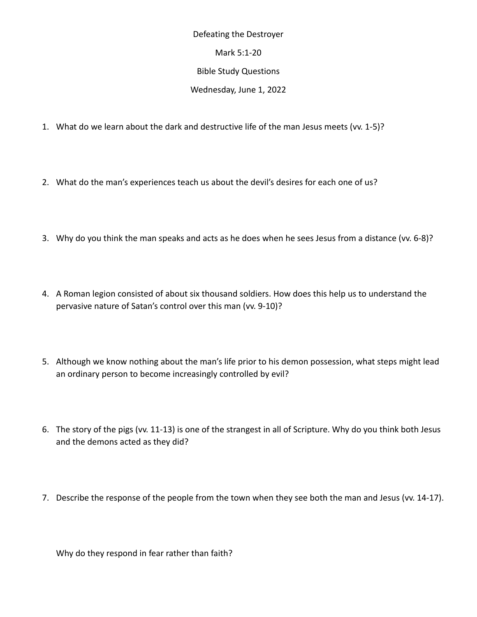Defeating the Destroyer Mark 5:1-20 Bible Study Questions Wednesday, June 1, 2022

- 1. What do we learn about the dark and destructive life of the man Jesus meets (vv. 1-5)?
- 2. What do the man's experiences teach us about the devil's desires for each one of us?
- 3. Why do you think the man speaks and acts as he does when he sees Jesus from a distance (vv. 6-8)?
- 4. A Roman legion consisted of about six thousand soldiers. How does this help us to understand the pervasive nature of Satan's control over this man (vv. 9-10)?
- 5. Although we know nothing about the man's life prior to his demon possession, what steps might lead an ordinary person to become increasingly controlled by evil?
- 6. The story of the pigs (vv. 11-13) is one of the strangest in all of Scripture. Why do you think both Jesus and the demons acted as they did?
- 7. Describe the response of the people from the town when they see both the man and Jesus (vv. 14-17).

Why do they respond in fear rather than faith?